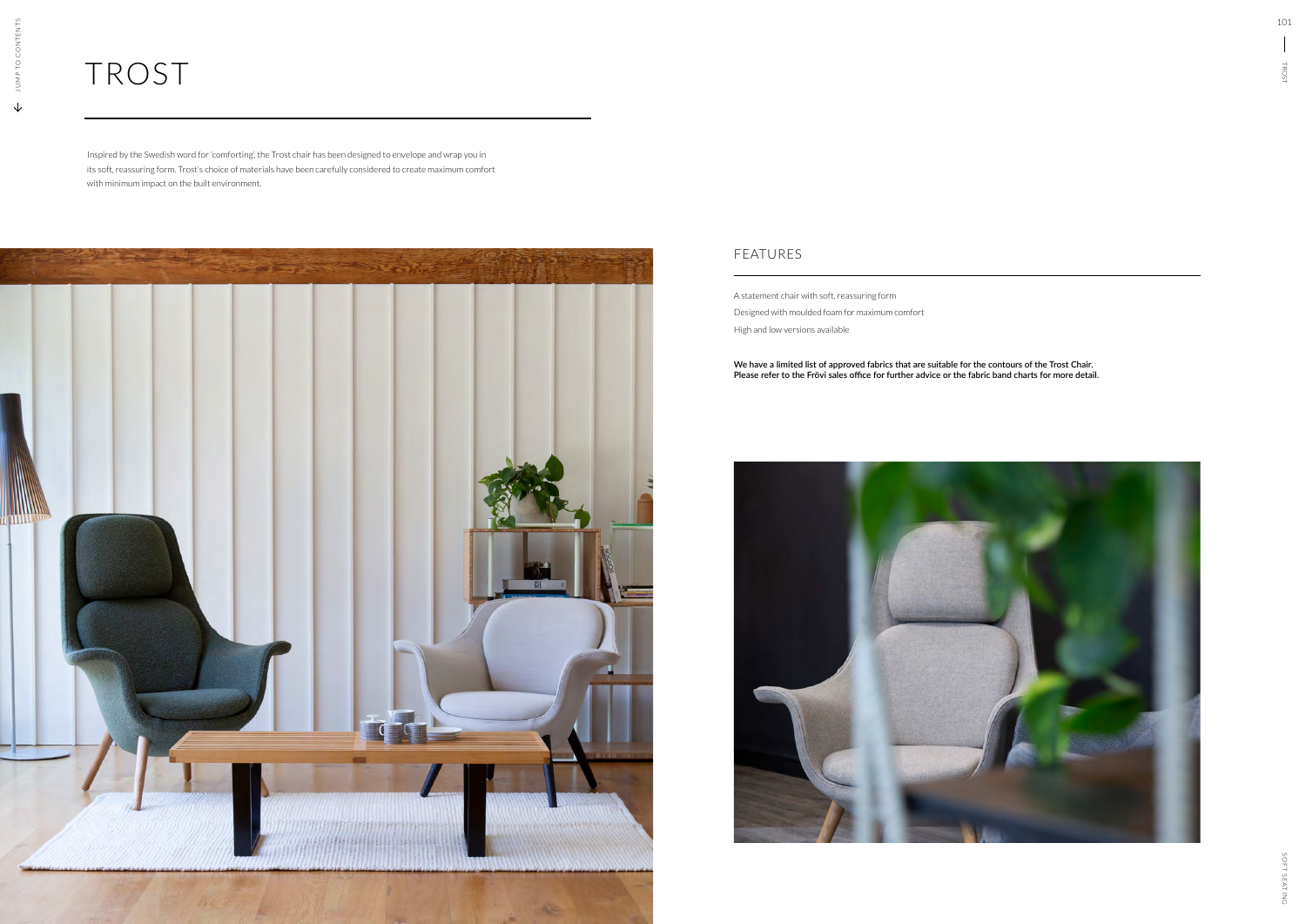## FEATURES

## TROST

A statement chair with soft, reassuring form Designed with moulded foam for maximum comfort High and low versions available

**We have a limited list of approved fabrics that are suitable for the contours of the Trost Chair. Please refer to the Frövi sales office for further advice or the fabric band charts for more detail.**



Inspired by the Swedish word for 'comforting', the Trost chair has been designed to envelope and wrap you in its soft, reassuring form. Trost's choice of materials have been carefully considered to create maximum comfort with minimum impact on the built environment.